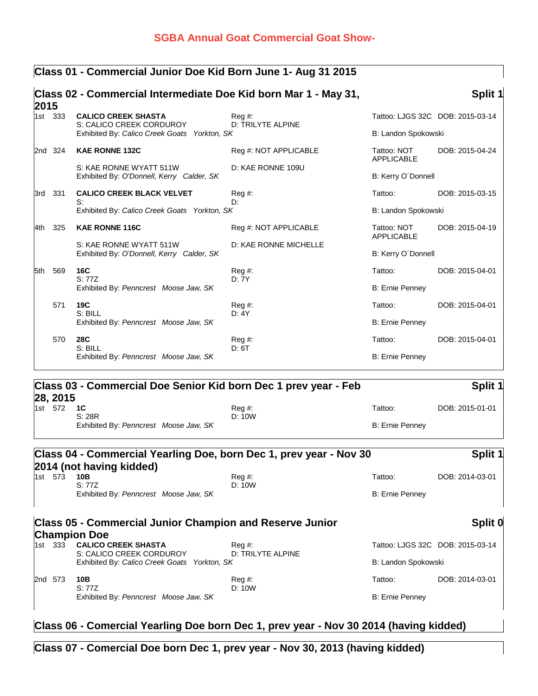## **SGBA Annual Goat Commercial Goat Show-**

### **Class 01 - Commercial Junior Doe Kid Born June 1- Aug 31 2015**

| 2015 |         | Class 02 - Commercial Intermediate Doe Kid born Mar 1 - May 31,          |                                        |                                  | Split 1                          |
|------|---------|--------------------------------------------------------------------------|----------------------------------------|----------------------------------|----------------------------------|
|      | 1st 333 | <b>CALICO CREEK SHASTA</b>                                               | $Req \#$ :<br><b>D: TRILYTE ALPINE</b> |                                  | Tattoo: LJGS 32C DOB: 2015-03-14 |
|      |         | S: CALICO CREEK CORDUROY<br>Exhibited By: Calico Creek Goats Yorkton, SK |                                        | B: Landon Spokowski              |                                  |
|      | 2nd 324 | <b>KAE RONNE 132C</b>                                                    | Reg #: NOT APPLICABLE                  | Tattoo: NOT<br><b>APPLICABLE</b> | DOB: 2015-04-24                  |
|      |         | S: KAE RONNE WYATT 511W<br>Exhibited By: O'Donnell, Kerry Calder, SK     | D: KAE RONNE 109U                      | B: Kerry O'Donnell               |                                  |
| 3rd  | 331     | <b>CALICO CREEK BLACK VELVET</b><br>S:                                   | $Reg#$ :                               | Tattoo:                          | DOB: 2015-03-15                  |
|      |         | Exhibited By: Calico Creek Goats Yorkton, SK                             | D:                                     | B: Landon Spokowski              |                                  |
| l4th | 325     | <b>KAE RONNE 116C</b>                                                    | Reg #: NOT APPLICABLE                  | Tattoo: NOT<br><b>APPLICABLE</b> | DOB: 2015-04-19                  |
|      |         | S: KAE RONNE WYATT 511W<br>Exhibited By: O'Donnell, Kerry Calder, SK     | D: KAE RONNE MICHELLE                  | B: Kerry O'Donnell               |                                  |
| 5th  | 569     | <b>16C</b><br>S: 77Z                                                     | $Reg#$ :<br>D: 7Y                      | Tattoo:                          | DOB: 2015-04-01                  |
|      |         | Exhibited By: Penncrest Moose Jaw, SK                                    |                                        | <b>B: Ernie Penney</b>           |                                  |
|      | 571     | 19C<br>S: BILL                                                           | $Reg#$ :<br>D: 4Y                      | Tattoo:                          | DOB: 2015-04-01                  |
|      |         | Exhibited By: Penncrest Moose Jaw, SK                                    |                                        | <b>B: Ernie Penney</b>           |                                  |
|      | 570     | <b>28C</b><br>S: BILL                                                    | $Reg#$ :<br>D: 6T                      | Tattoo:                          | DOB: 2015-04-01                  |
|      |         | Exhibited By: Penncrest Moose Jaw, SK                                    |                                        | B: Ernie Penney                  |                                  |

### **Class 03 - Commercial Doe Senior Kid born Dec 1 prev year - Feb 28, 2015**<br>1st 572 1C **Split 1** 1st 572 **1C** Reg #: Tattoo: DOB: 2015-01-01

| $\overline{\phantom{a}}$ |                                       | .      | .               | <u>.</u> |
|--------------------------|---------------------------------------|--------|-----------------|----------|
|                          | S: 28R                                | D: 10W |                 |          |
|                          | Exhibited By: Penncrest Moose Jaw, SK |        | B: Ernie Penney |          |

### **Class 04 - Commercial Yearling Doe, born Dec 1, prev year - Nov 30 2014 (not having kidded) Split 1 10B** Reg #: Reg +: Tattoo: DOB: 2014-03-01<br>S: 77Z D: 10W D: 10W  $D: 10W$ Exhibited By: Penncrest Moose Jaw, SK B: Ernie Penney B: Ernie Penney

### **Class 05 - Commercial Junior Champion and Reserve Junior Champion Doe**<br>1st 333 CALICO CREEK SHASTA **Split 0** 1st 332 **COREE 2015-03-14**<br>
1st 32C DOB: 2015-03-14<br>
D: TRILYTE ALPINE S: CALICO CREEK CORDUROY Exhibited By: *Calico Creek Goats Yorkton, SK* B: Landon Spokowski 2nd 573 **10B** Reg #: Tattoo: DOB: 2014-03-01 S: 77Z D: 10W Exhibited By: *Penncrest Moose Jaw, SK* B: Ernie Penney

# **Class 06 - Comercial Yearling Doe born Dec 1, prev year - Nov 30 2014 (having kidded)**

### **Class 07 - Comercial Doe born Dec 1, prev year - Nov 30, 2013 (having kidded)**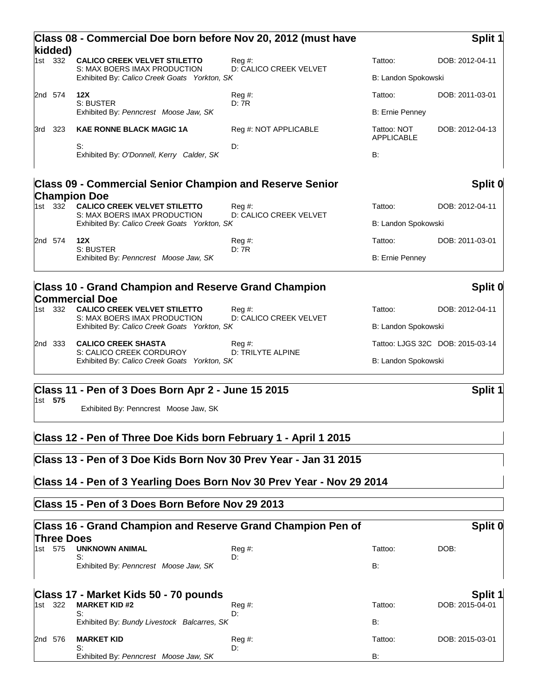|     | kidded) | Class 08 - Commercial Doe born before Nov 20, 2012 (must have                                                                              |                                      | Split 1                          |                 |
|-----|---------|--------------------------------------------------------------------------------------------------------------------------------------------|--------------------------------------|----------------------------------|-----------------|
|     | 1st 332 | <b>CALICO CREEK VELVET STILETTO</b><br>S: MAX BOERS IMAX PRODUCTION                                                                        | $Req \#$ :<br>D: CALICO CREEK VELVET | Tattoo:                          | DOB: 2012-04-11 |
|     |         | Exhibited By: Calico Creek Goats Yorkton, SK                                                                                               |                                      | B: Landon Spokowski              |                 |
|     | 2nd 574 | 12X<br>S: BUSTER                                                                                                                           | Reg#<br>D:7R                         | Tattoo:                          | DOB: 2011-03-01 |
|     |         | Exhibited By: Penncrest Moose Jaw, SK                                                                                                      |                                      | <b>B: Ernie Penney</b>           |                 |
| 3rd | 323     | <b>KAE RONNE BLACK MAGIC 1A</b>                                                                                                            | Reg #: NOT APPLICABLE                | Tattoo: NOT<br><b>APPLICABLE</b> | DOB: 2012-04-13 |
|     |         | S:<br>Exhibited By: O'Donnell, Kerry Calder, SK                                                                                            | D:                                   | <b>B:</b>                        |                 |
|     |         | <b>Class 09 - Commercial Senior Champion and Reserve Senior</b>                                                                            |                                      |                                  | Split 0         |
|     | 1st 332 | <b>Champion Doe</b><br><b>CALICO CREEK VELVET STILETTO</b><br>S: MAX BOERS IMAX PRODUCTION<br>Exhibited By: Calico Creek Goats Yorkton, SK | $Req \#$ :<br>D: CALICO CREEK VELVET | Tattoo:<br>B: Landon Spokowski   | DOB: 2012-04-11 |
|     | 2nd 574 | 12X                                                                                                                                        | $Reg#$ :                             | Tattoo:                          | DOB: 2011-03-01 |
|     |         | S: BUSTER<br>Exhibited By: Penncrest Moose Jaw, SK                                                                                         | D:7R                                 | B: Ernie Penney                  |                 |
|     |         | <b>Class 10 - Grand Champion and Reserve Grand Champion</b>                                                                                |                                      |                                  | Split 0         |
|     | 1st 332 | <b>Commercial Doe</b><br><b>CALICO CREEK VELVET STILETTO</b><br>S: MAX BOERS IMAX PRODUCTION                                               | $Req \#$ :<br>D: CALICO CREEK VELVET | Tattoo:                          | DOB: 2012-04-11 |

Tattoo: LJGS 32C DOB: 2015-03-14

B: Landon Spokowski

|  | 2nd 333 CALICO CREEK SHASTA                  | Reg #:            |
|--|----------------------------------------------|-------------------|
|  | S: CALICO CREEK CORDUROY                     | D: TRILYTE ALPINE |
|  | Exhibited By: Calico Creek Goats Yorkton, SK |                   |

# **Class 11 - Pen of 3 Does Born Apr 2 - June 15 2015 Split 1**

1st **575**

Exhibited By: Penncrest Moose Jaw, SK

# **Class 12 - Pen of Three Doe Kids born February 1 - April 1 2015**

### **Class 13 - Pen of 3 Doe Kids Born Nov 30 Prev Year - Jan 31 2015**

# **Class 14 - Pen of 3 Yearling Does Born Nov 30 Prev Year - Nov 29 2014**

## **Class 15 - Pen of 3 Does Born Before Nov 29 2013**

| Class 16 - Grand Champion and Reserve Grand Champion Pen of<br><b>Three Does</b> |     |                                             |                         |           | Split 0         |  |
|----------------------------------------------------------------------------------|-----|---------------------------------------------|-------------------------|-----------|-----------------|--|
| 1st.                                                                             | 575 | <b>UNKNOWN ANIMAL</b><br>S:                 | $Req \#$ :<br>D:        | Tattoo:   | DOB:            |  |
|                                                                                  |     | Exhibited By: Penncrest Moose Jaw, SK       |                         | <b>B:</b> |                 |  |
|                                                                                  |     | Class 17 - Market Kids 50 - 70 pounds       |                         |           | Split 1         |  |
| 1st 322                                                                          |     | <b>MARKET KID #2</b><br>S:                  | $\text{Re}q \#$ :<br>D: | Tattoo:   | DOB: 2015-04-01 |  |
|                                                                                  |     | Exhibited By: Bundy Livestock Balcarres, SK |                         | <b>B:</b> |                 |  |
| l2nd                                                                             | 576 | <b>MARKET KID</b>                           | $Reg \#$ :              | Tattoo:   | DOB: 2015-03-01 |  |
|                                                                                  |     | S:<br>Exhibited By: Penncrest Moose Jaw, SK | D:                      | <b>B:</b> |                 |  |